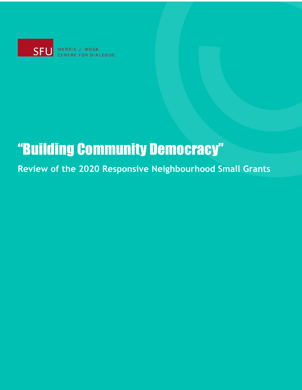

MORRIS J. WOSK **FOR DIALOGUE** 

## "Building Community Democracy"

**Review of the 2020 Responsive Neighbourhood Small Grants**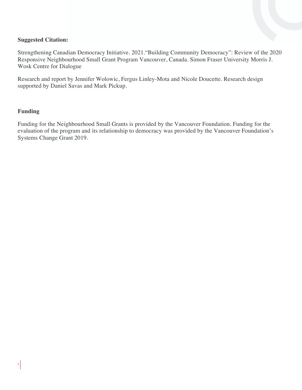#### **Suggested Citation:**

Strengthening Canadian Democracy Initiative. 2021."Building Community Democracy": Review of the 2020 Responsive Neighbourhood Small Grant Program Vancouver, Canada. Simon Fraser University Morris J. Wosk Centre for Dialogue

Research and report by Jennifer Wolowic, Fergus Linley-Mota and Nicole Doucette. Research design supported by Daniel Savas and Mark Pickup.

#### **Funding**

Funding for the Neighbourhood Small Grants is provided by the Vancouver Foundation. Funding for the evaluation of the program and its relationship to democracy was provided by the Vancouver Foundation's Systems Change Grant 2019.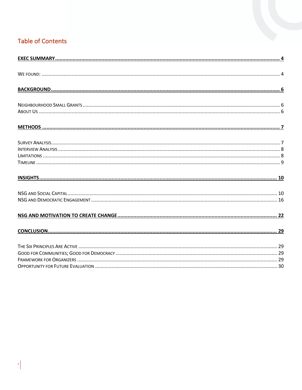#### **Table of Contents**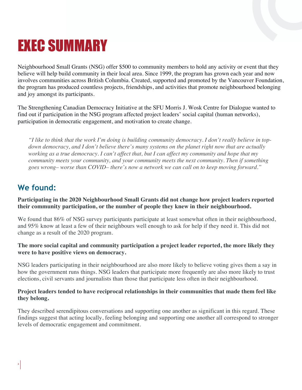## EXEC SUMMARY

Neighbourhood Small Grants (NSG) offer \$500 to community members to hold any activity or event that they believe will help build community in their local area. Since 1999, the program has grown each year and now involves communities across British Columbia. Created, supported and promoted by the Vancouver Foundation, the program has produced countless projects, friendships, and activities that promote neighbourhood belonging and joy amongst its participants.

The Strengthening Canadian Democracy Initiative at the SFU Morris J. Wosk Centre for Dialogue wanted to find out if participation in the NSG program affected project leaders' social capital (human networks), participation in democratic engagement, and motivation to create change.

*"I like to think that the work I'm doing is building community democracy. I don't really believe in topdown democracy, and I don't believe there's many systems on the planet right now that are actually working as a true democracy. I can't affect that, but I can affect my community and hope that my community meets your community, and your community meets the next community. Then if something goes wrong– worse than COVID– there's now a network we can call on to keep moving forward."*

## **We found:**

**Participating in the 2020 Neighbourhood Small Grants did not change how project leaders reported their community participation, or the number of people they knew in their neighbourhood.**

We found that 86% of NSG survey participants participate at least somewhat often in their neighbourhood, and 95% know at least a few of their neighbours well enough to ask for help if they need it. This did not change as a result of the 2020 program.

#### **The more social capital and community participation a project leader reported, the more likely they were to have positive views on democracy.**

NSG leaders participating in their neighbourhood are also more likely to believe voting gives them a say in how the government runs things. NSG leaders that participate more frequently are also more likely to trust elections, civil servants and journalists than those that participate less often in their neighbourhood.

#### **Project leaders tended to have reciprocal relationships in their communities that made them feel like they belong.**

They described serendipitous conversations and supporting one another as significant in this regard. These findings suggest that acting locally, feeling belonging and supporting one another all correspond to stronger levels of democratic engagement and commitment.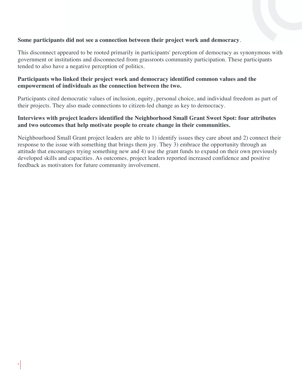#### **Some participants did not see a connection between their project work and democracy**.

This disconnect appeared to be rooted primarily in participants' perception of democracy as synonymous with government or institutions and disconnected from grassroots community participation. These participants tended to also have a negative perception of politics.

#### **Participants who linked their project work and democracy identified common values and the empowerment of individuals as the connection between the two.**

Participants cited democratic values of inclusion, equity, personal choice, and individual freedom as part of their projects. They also made connections to citizen-led change as key to democracy.

#### **Interviews with project leaders identified the Neighborhood Small Grant Sweet Spot: four attributes and two outcomes that help motivate people to create change in their communities.**

Neighbourhood Small Grant project leaders are able to 1) identify issues they care about and 2) connect their response to the issue with something that brings them joy. They 3) embrace the opportunity through an attitude that encourages trying something new and 4) use the grant funds to expand on their own previously developed skills and capacities. As outcomes, project leaders reported increased confidence and positive feedback as motivators for future community involvement.

5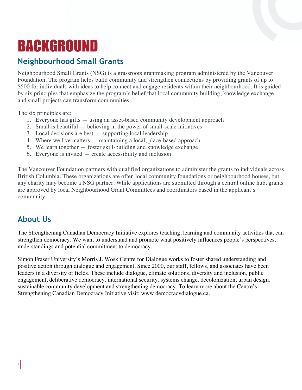## BACKGROUND

### **Neighbourhood Small Grants**

Neighbourhood Small Grants (NSG) is a grassroots grantmaking program administered by the Vancouver Foundation. The program helps build community and strengthen connections by providing grants of up to \$500 for individuals with ideas to help connect and engage residents within their neighbourhood. It is guided by six principles that emphasize the program's belief that local community building, knowledge exchange and small projects can transform communities.

The six principles are:

- 1. Everyone has gifts using an asset-based community development approach
- 2. Small is beautiful believing in the power of small-scale initiatives
- 3. Local decisions are best supporting local leadership
- 4. Where we live matters maintaining a local, place-based approach
- 5. We learn together foster skill-building and knowledge exchange
- 6. Everyone is invited create accessibility and inclusion

The Vancouver Foundation partners with qualified organizations to administer the grants to individuals across British Columbia. These organizations are often local community foundations or neighbourhood houses, but any charity may become a NSG partner. While applications are submitted through a central online hub, grants are approved by local Neighbourhood Grant Committees and coordinators based in the applicant's community.

### **About Us**

The Strengthening Canadian Democracy Initiative explores teaching, learning and community activities that can strengthen democracy. We want to understand and promote what positively influences people's perspectives, understandings and potential commitment to democracy.

Simon Fraser University's Morris J. Wosk Centre for Dialogue works to foster shared understanding and positive action through dialogue and engagement. Since 2000, our staff, fellows, and associates have been leaders in a diversity of fields. These include dialogue, climate solutions, diversity and inclusion, public engagement, deliberative democracy, international security, systems change, decolonization, urban design, sustainable community development and strengthening democracy. To learn more about the Centre's Strengthening Canadian Democracy Initiative visit: www.democracydialogue.ca.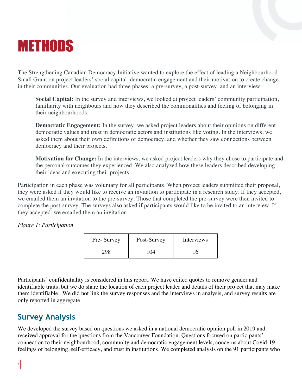## METHODS

The Strengthening Canadian Democracy Initiative wanted to explore the effect of leading a Neighbourhood Small Grant on project leaders' social capital, democratic engagement and their motivation to create change in their communities. Our evaluation had three phases: a pre-survey, a post-survey, and an interview.

**Social Capital:** In the survey and interviews, we looked at project leaders' community participation, familiarity with neighbours and how they described the commonalities and feeling of belonging in their neighbourhoods.

**Democratic Engagement:** In the survey, we asked project leaders about their opinions on different democratic values and trust in democratic actors and institutions like voting. In the interviews, we asked them about their own definitions of democracy, and whether they saw connections between democracy and their projects.

**Motivation for Change:** In the interviews, we asked project leaders why they chose to participate and the personal outcomes they experienced. We also analyzed how these leaders described developing their ideas and executing their projects.

Participation in each phase was voluntary for all participants. When project leaders submitted their proposal, they were asked if they would like to receive an invitation to participate in a research study. If they accepted, we emailed them an invitation to the pre-survey. Those that completed the pre-survey were then invited to complete the post-survey. The surveys also asked if participants would like to be invited to an interview. If they accepted, we emailed them an invitation.

*Figure 1: Participation*

| Pre-Survey | Post-Survey | Interviews |
|------------|-------------|------------|
|            |             |            |

Participants' confidentiality is considered in this report. We have edited quotes to remove gender and identifiable traits, but we do share the location of each project leader and details of their project that may make them identifiable. We did not link the survey responses and the interviews in analysis, and survey results are only reported in aggregate.

## **Survey Analysis**

We developed the survey based on questions we asked in a national democratic opinion poll in 2019 and received approval for the questions from the Vancouver Foundation. Questions focused on participants' connection to their neighbourhood, community and democratic engagement levels, concerns about Covid-19, feelings of belonging, self-efficacy, and trust in institutions. We completed analysis on the 91 participants who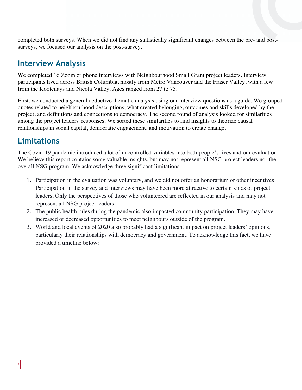completed both surveys. When we did not find any statistically significant changes between the pre- and postsurveys, we focused our analysis on the post-survey.

### **Interview Analysis**

We completed 16 Zoom or phone interviews with Neighbourhood Small Grant project leaders. Interview participants lived across British Columbia, mostly from Metro Vancouver and the Fraser Valley, with a few from the Kootenays and Nicola Valley. Ages ranged from 27 to 75.

First, we conducted a general deductive thematic analysis using our interview questions as a guide. We grouped quotes related to neighbourhood descriptions, what created belonging, outcomes and skills developed by the project, and definitions and connections to democracy. The second round of analysis looked for similarities among the project leaders' responses. We sorted these similarities to find insights to theorize causal relationships in social capital, democratic engagement, and motivation to create change.

## **Limitations**

The Covid-19 pandemic introduced a lot of uncontrolled variables into both people's lives and our evaluation. We believe this report contains some valuable insights, but may not represent all NSG project leaders nor the overall NSG program. We acknowledge three significant limitations:

- 1. Participation in the evaluation was voluntary, and we did not offer an honorarium or other incentives. Participation in the survey and interviews may have been more attractive to certain kinds of project leaders. Only the perspectives of those who volunteered are reflected in our analysis and may not represent all NSG project leaders.
- 2. The public health rules during the pandemic also impacted community participation. They may have increased or decreased opportunities to meet neighbours outside of the program.
- 3. World and local events of 2020 also probably had a significant impact on project leaders' opinions, particularly their relationships with democracy and government. To acknowledge this fact, we have provided a timeline below: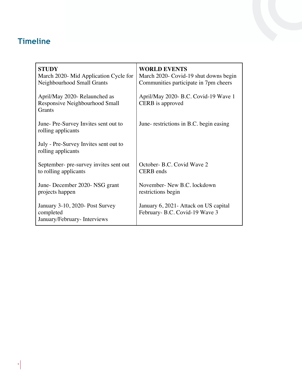## **Timeline**

| <b>STUDY</b><br>March 2020- Mid Application Cycle for<br>Neighbourhood Small Grants | <b>WORLD EVENTS</b><br>March 2020- Covid-19 shut downs begin<br>Communities participate in 7pm cheers |
|-------------------------------------------------------------------------------------|-------------------------------------------------------------------------------------------------------|
| April/May 2020- Relaunched as<br>Responsive Neighbourhood Small<br>Grants           | April/May 2020- B.C. Covid-19 Wave 1<br>CERB is approved                                              |
| June-Pre-Survey Invites sent out to<br>rolling applicants                           | June- restrictions in B.C. begin easing                                                               |
| July - Pre-Survey Invites sent out to<br>rolling applicants                         |                                                                                                       |
| September- pre-survey invites sent out<br>to rolling applicants                     | October- B.C. Covid Wave 2<br><b>CERB</b> ends                                                        |
| June-December 2020-NSG grant<br>projects happen                                     | November- New B.C. lockdown<br>restrictions begin                                                     |
| January 3-10, 2020- Post Survey<br>completed<br>January/February-Interviews         | January 6, 2021 - Attack on US capital<br>February- B.C. Covid-19 Wave 3                              |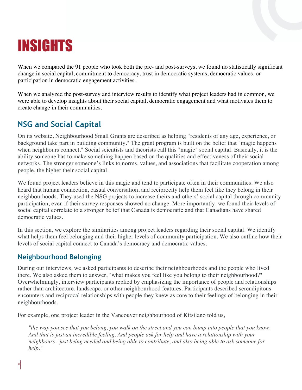## INSIGHTS

When we compared the 91 people who took both the pre- and post-surveys, we found no statistically significant change in social capital, commitment to democracy, trust in democratic systems, democratic values, or participation in democratic engagement activities.

When we analyzed the post-survey and interview results to identify what project leaders had in common, we were able to develop insights about their social capital, democratic engagement and what motivates them to create change in their communities.

## **NSG and Social Capital**

On its website, Neighbourhood Small Grants are described as helping "residents of any age, experience, or background take part in building community." The grant program is built on the belief that "magic happens when neighbours connect." Social scientists and theorists call this "magic" social capital. Basically, it is the ability someone has to make something happen based on the qualities and effectiveness of their social networks. The stronger someone's links to norms, values, and associations that facilitate cooperation among people, the higher their social capital.

We found project leaders believe in this magic and tend to participate often in their communities. We also heard that human connection, casual conversation, and reciprocity help them feel like they belong in their neighbourhoods. They used the NSG projects to increase theirs and others' social capital through community participation, even if their survey responses showed no change. More importantly, we found their levels of social capital correlate to a stronger belief that Canada is democratic and that Canadians have shared democratic values.

In this section, we explore the similarities among project leaders regarding their social capital. We identify what helps them feel belonging and their higher levels of community participation. We also outline how their levels of social capital connect to Canada's democracy and democratic values.

#### **Neighbourhood Belonging**

During our interviews, we asked participants to describe their neighbourhoods and the people who lived there. We also asked them to answer, "what makes you feel like you belong to their neighbourhood?" Overwhelmingly, interview participants replied by emphasizing the importance of people and relationships rather than architecture, landscape, or other neighbourhood features. Participants described serendipitous encounters and reciprocal relationships with people they knew as core to their feelings of belonging in their neighbourhoods.

For example, one project leader in the Vancouver neighbourhood of Kitsilano told us,

*"the way you see that you belong, you walk on the street and you can bump into people that you know. And that is just an incredible feeling. And people ask for help and have a relationship with your neighbours– just being needed and being able to contribute, and also being able to ask someone for help."*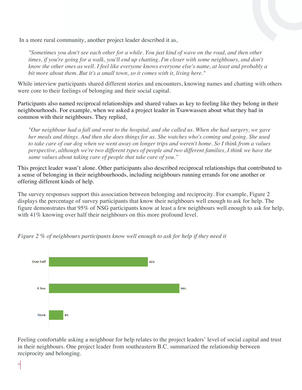In a more rural community, another project leader described it as,

*"Sometimes you don't see each other for a while. You just kind of wave on the road, and then other times, if you're going for a walk, you'll end up chatting. I'm closer with some neighbours, and don't know the other ones as well. I feel like everyone knows everyone else's name, at least and probably a bit more about them. But it's a small town, so it comes with it, living here."* 

While interview participants shared different stories and encounters, knowing names and chatting with others were core to their feelings of belonging and their social capital.

Participants also named reciprocal relationships and shared values as key to feeling like they belong in their neighbourhoods. For example, when we asked a project leader in Tsawwassen about what they had in common with their neighbours. They replied,

*"Our neighbour had a fall and went to the hospital, and she called us. When she had surgery, we gave her meals and things. And then she does things for us. She watches who's coming and going. She used to take care of our dog when we went away on longer trips and weren't home. So I think from a values perspective, although we're two different types of people and two different families, I think we have the same values about taking care of people that take care of you."* 

This project leader wasn't alone. Other participants also described reciprocal relationships that contributed to a sense of belonging in their neighbourhoods, including neighbours running errands for one another or offering different kinds of help.

The survey responses support this association between belonging and reciprocity. For example, Figure 2 displays the percentage of survey participants that know their neighbours well enough to ask for help. The figure demonstrates that 95% of NSG participants know at least a few neighbours well enough to ask for help, with 41% knowing over half their neighbours on this more profound level.



*Figure 2 % of neighbours participants know well enough to ask for help if they need it*

Feeling comfortable asking a neighbour for help relates to the project leaders' level of social capital and trust in their neighbours. One project leader from southeastern B.C. summarized the relationship between reciprocity and belonging.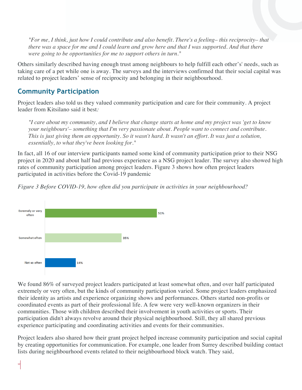*"For me, I think, just how I could contribute and also benefit. There's a feeling– this reciprocity– that there was a space for me and I could learn and grow here and that I was supported. And that there were going to be opportunities for me to support others in turn."*

Others similarly described having enough trust among neighbours to help fulfill each other's' needs, such as taking care of a pet while one is away. The surveys and the interviews confirmed that their social capital was related to project leaders' sense of reciprocity and belonging in their neighbourhood.

#### **Community Participation**

Project leaders also told us they valued community participation and care for their community. A project leader from Kitsilano said it best*:* 

*"I care about my community, and I believe that change starts at home and my project was 'get to know your neighbours'– something that I'm very passionate about. People want to connect and contribute. This is just giving them an opportunity. So it wasn't hard. It wasn't an effort. It was just a solution, essentially, to what they've been looking for."* 

In fact, all 16 of our interview participants named some kind of community participation prior to their NSG project in 2020 and about half had previous experience as a NSG project leader. The survey also showed high rates of community participation among project leaders. Figure 3 shows how often project leaders participated in activities before the Covid-19 pandemic





We found 86% of surveyed project leaders participated at least somewhat often, and over half participated extremely or very often, but the kinds of community participation varied. Some project leaders emphasized their identity as artists and experience organizing shows and performances. Others started non-profits or coordinated events as part of their professional life. A few were very well-known organizers in their communities. Those with children described their involvement in youth activities or sports. Their participation didn't always revolve around their physical neighbourhood. Still, they all shared previous experience participating and coordinating activities and events for their communities.

Project leaders also shared how their grant project helped increase community participation and social capital by creating opportunities for communication. For example, one leader from Surrey described building contact lists during neighbourhood events related to their neighbourhood block watch. They said,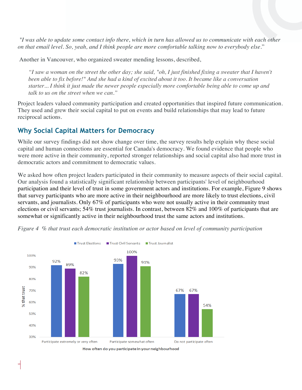*"I was able to update some contact info there, which in turn has allowed us to communicate with each other on that email level. So, yeah, and I think people are more comfortable talking now to everybody else.*"

Another in Vancouver, who organized sweater mending lessons, described,

*"I saw a woman on the street the other day; she said, "oh, I just finished fixing a sweater that I haven't been able to fix before!" And she had a kind of excited about it too. It became like a conversation starter... I think it just made the newer people especially more comfortable being able to come up and talk to us on the street when we can."*

Project leaders valued community participation and created opportunities that inspired future communication. They used and grew their social capital to put on events and build relationships that may lead to future reciprocal actions.

#### **Why Social Capital Matters for Democracy**

While our survey findings did not show change over time, the survey results help explain why these social capital and human connections are essential for Canada's democracy. We found evidence that people who were more active in their community, reported stronger relationships and social capital also had more trust in democratic actors and commitment to democratic values.

We asked how often project leaders participated in their community to measure aspects of their social capital. Our analysis found a statistically significant relationship between participants' level of neighbourhood participation and their level of trust in some government actors and institutions. For example, Figure 9 shows that survey participants who are more active in their neighbourhood are more likely to trust elections, civil servants, and journalists. Only 67% of participants who were not usually active in their community trust elections or civil servants; 54% trust journalists. In contrast, between 82% and 100% of participants that are somewhat or significantly active in their neighbourhood trust the same actors and institutions.



*Figure 4 % that trust each democratic institution or actor based on level of community participation*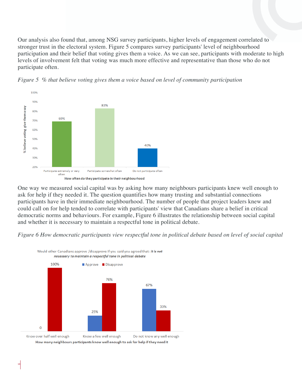Our analysis also found that, among NSG survey participants, higher levels of engagement correlated to stronger trust in the electoral system. Figure 5 compares survey participants' level of neighbourhood participation and their belief that voting gives them a voice. As we can see, participants with moderate to high levels of involvement felt that voting was much more effective and representative than those who do not participate often.



*Figure 5 % that believe voting gives them a voice based on level of community participation*

One way we measured social capital was by asking how many neighbours participants knew well enough to ask for help if they needed it. The question quantifies how many trusting and substantial connections participants have in their immediate neighbourhood. The number of people that project leaders knew and could call on for help tended to correlate with participants' view that Canadians share a belief in critical democratic norms and behaviours. For example, Figure 6 illustrates the relationship between social capital and whether it is necessary to maintain a respectful tone in political debate.

*Figure 6 How democratic participants view respectful tone in political debate based on level of social capital*

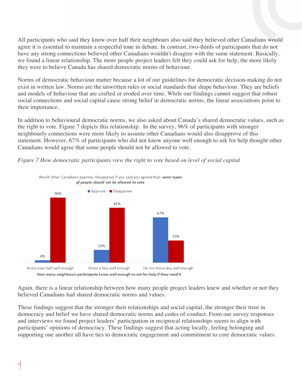All participants who said they know over half their neighbours also said they believed other Canadians would agree it is essential to maintain a respectful tone in debate. In contrast, two-thirds of participants that do not have any strong connections believed other Canadians wouldn't disagree with the same statement. Basically, we found a linear relationship. The more people project leaders felt they could ask for help, the more likely they were to believe Canada has shared democratic norms of behaviour.

Norms of democratic behaviour matter because a lot of our guidelines for democratic decision-making do not exist in written law. Norms are the unwritten rules or social standards that shape behaviour. They are beliefs and models of behaviour that are crafted or eroded over time. While our findings cannot suggest that robust social connections and social capital cause strong belief in democratic norms, the linear associations point to their importance.

In addition to behavioural democratic norms, we also asked about Canada's shared democratic values, such as the right to vote. Figure 7 depicts this relationship. In the survey, 96% of participants with stronger neighbourly connections were more likely to assume other Canadians would also disapprove of this statement. However, 67% of participants who did not know anyone well enough to ask for help thought other Canadians would agree that some people should not be allowed to vote.





Again, there is a linear relationship between how many people project leaders knew and whether or not they believed Canadians had shared democratic norms and values.

These findings suggest that the stronger their relationships and social capital, the stronger their trust in democracy and belief we have shared democratic norms and codes of conduct. From our survey responses and interviews we found project leaders' participation in reciprocal relationships seems to align with participants' opinions of democracy. These findings suggest that acting locally, feeling belonging and supporting one another all have ties to democratic engagement and commitment to core democratic values.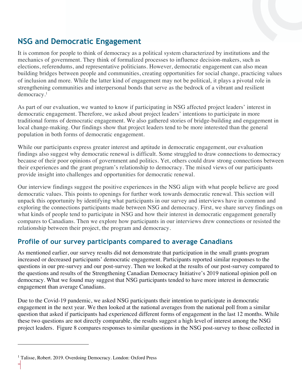## **NSG and Democratic Engagement**

It is common for people to think of democracy as a political system characterized by institutions and the mechanics of government. They think of formalized processes to influence decision-makers, such as elections, referendums, and representative politicians. However, democratic engagement can also mean building bridges between people and communities, creating opportunities for social change, practicing values of inclusion and more. While the latter kind of engagement may not be political, it plays a pivotal role in strengthening communities and interpersonal bonds that serve as the bedrock of a vibrant and resilient democracy.1

As part of our evaluation, we wanted to know if participating in NSG affected project leaders' interest in democratic engagement. Therefore, we asked about project leaders' intentions to participate in more traditional forms of democratic engagement. We also gathered stories of bridge-building and engagement in local change-making. Our findings show that project leaders tend to be more interested than the general population in both forms of democratic engagement.

While our participants express greater interest and aptitude in democratic engagement, our evaluation findings also suggest why democratic renewal is difficult. Some struggled to draw connections to democracy because of their poor opinions of government and politics. Yet, others could draw strong connections between their experiences and the grant program's relationship to democracy. The mixed views of our participants provide insight into challenges and opportunities for democratic renewal.

Our interview findings suggest the positive experiences in the NSG align with what people believe are good democratic values. This points to openings for further work towards democratic renewal. This section will unpack this opportunity by identifying what participants in our survey and interviews have in common and exploring the connections participants made between NSG and democracy. First, we share survey findings on what kinds of people tend to participate in NSG and how their interest in democratic engagement generally compares to Canadians. Then we explore how participants in our interviews drew connections or resisted the relationship between their project, the program and democracy.

#### **Profile of our survey participants compared to average Canadians**

As mentioned earlier, our survey results did not demonstrate that participation in the small grants program increased or decreased participants' democratic engagement. Participants reported similar responses to the questions in our pre-survey and our post-survey. Then we looked at the results of our post-survey compared to the questions and results of the Strengthening Canadian Democracy Initiative's 2019 national opinion poll on democracy. What we found may suggest that NSG participants tended to have more interest in democratic engagement than average Canadians.

Due to the Covid-19 pandemic, we asked NSG participants their intention to participate in democratic engagement in the next year. We then looked at the national averages from the national poll from a similar question that asked if participants had experienced different forms of engagement in the last 12 months. While these two questions are not directly comparable, the results suggest a high level of interest among the NSG project leaders. Figure 8 compares responses to similar questions in the NSG post-survey to those collected in

<sup>&</sup>lt;sup>1</sup> Talisse, Robert. 2019. Overdoing Democracy. London: Oxford Press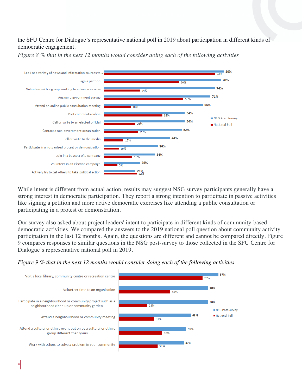#### the SFU Centre for Dialogue's representative national poll in 2019 about participation in different kinds of democratic engagement.



*Figure 8 % that in the next 12 months would consider doing each of the following activities*

While intent is different from actual action, results may suggest NSG survey participants generally have a strong interest in democratic participation. They report a strong intention to participate in passive activities like signing a petition and more active democratic exercises like attending a public consultation or participating in a protest or demonstration.

Our survey also asked about project leaders' intent to participate in different kinds of community-based democratic activities. We compared the answers to the 2019 national poll question about community activity participation in the last 12 months. Again, the questions are different and cannot be compared directly. Figure 9 compares responses to similar questions in the NSG post-survey to those collected in the SFU Centre for Dialogue's representative national poll in 2019.

#### *Figure 9 % that in the next 12 months would consider doing each of the following activities*

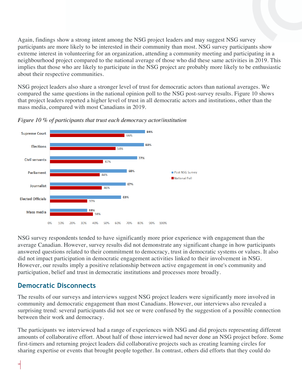Again, findings show a strong intent among the NSG project leaders and may suggest NSG survey participants are more likely to be interested in their community than most. NSG survey participants show extreme interest in volunteering for an organization, attending a community meeting and participating in a neighbourhood project compared to the national average of those who did these same activities in 2019. This implies that those who are likely to participate in the NSG project are probably more likely to be enthusiastic about their respective communities.

NSG project leaders also share a stronger level of trust for democratic actors than national averages. We compared the same questions in the national opinion poll to the NSG post-survey results. Figure 10 shows that project leaders reported a higher level of trust in all democratic actors and institutions, other than the mass media, compared with most Canadians in 2019.



*Figure 10 % of participants that trust each democracy actor/institution*

NSG survey respondents tended to have significantly more prior experience with engagement than the average Canadian. However, survey results did not demonstrate any significant change in how participants answered questions related to their commitment to democracy, trust in democratic systems or values. It also did not impact participation in democratic engagement activities linked to their involvement in NSG. However, our results imply a positive relationship between active engagement in one's community and participation, belief and trust in democratic institutions and processes more broadly.

#### **Democratic Disconnects**

The results of our surveys and interviews suggest NSG project leaders were significantly more involved in community and democratic engagement than most Canadians. However, our interviews also revealed a surprising trend: several participants did not see or were confused by the suggestion of a possible connection between their work and democracy.

The participants we interviewed had a range of experiences with NSG and did projects representing different amounts of collaborative effort. About half of those interviewed had never done an NSG project before. Some first-timers and returning project leaders did collaborative projects such as creating learning circles for sharing expertise or events that brought people together. In contrast, others did efforts that they could do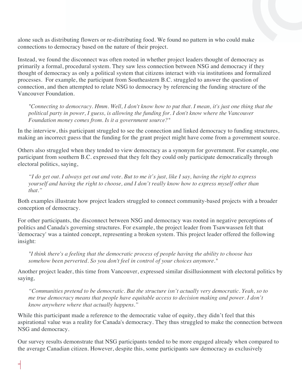alone such as distributing flowers or re-distributing food. We found no pattern in who could make connections to democracy based on the nature of their project.

Instead, we found the disconnect was often rooted in whether project leaders thought of democracy as primarily a formal, procedural system. They saw less connection between NSG and democracy if they thought of democracy as only a political system that citizens interact with via institutions and formalized processes. For example, the participant from Southeastern B.C. struggled to answer the question of connection, and then attempted to relate NSG to democracy by referencing the funding structure of the Vancouver Foundation.

*"Connecting to democracy. Hmm. Well, I don't know how to put that. I mean, it's just one thing that the political party in power, I guess, is allowing the funding for. I don't know where the Vancouver Foundation money comes from. Is it a government source?"*

In the interview, this participant struggled to see the connection and linked democracy to funding structures, making an incorrect guess that the funding for the grant project might have come from a government source.

Others also struggled when they tended to view democracy as a synonym for government. For example, one participant from southern B.C. expressed that they felt they could only participate democratically through electoral politics, saying,

*"I do get out. I always get out and vote. But to me it's just, like I say, having the right to express yourself and having the right to choose, and I don't really know how to express myself other than that."* 

Both examples illustrate how project leaders struggled to connect community-based projects with a broader conception of democracy.

For other participants, the disconnect between NSG and democracy was rooted in negative perceptions of politics and Canada's governing structures. For example, the project leader from Tsawwassen felt that 'democracy' was a tainted concept, representing a broken system. This project leader offered the following insight:

*"I think there's a feeling that the democratic process of people having the ability to choose has somehow been perverted. So you don't feel in control of your choices anymore."*

Another project leader, this time from Vancouver, expressed similar disillusionment with electoral politics by saying*,* 

*"Communities pretend to be democratic. But the structure isn't actually very democratic. Yeah, so to me true democracy means that people have equitable access to decision making and power. I don't know anywhere where that actually happens."*

While this participant made a reference to the democratic value of equity, they didn't feel that this aspirational value was a reality for Canada's democracy. They thus struggled to make the connection between NSG and democracy.

Our survey results demonstrate that NSG participants tended to be more engaged already when compared to the average Canadian citizen. However, despite this, some participants saw democracy as exclusively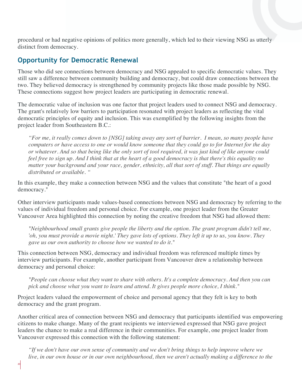procedural or had negative opinions of politics more generally, which led to their viewing NSG as utterly distinct from democracy.

#### **Opportunity for Democratic Renewal**

Those who did see connections between democracy and NSG appealed to specific democratic values. They still saw a difference between community building and democracy, but could draw connections between the two. They believed democracy is strengthened by community projects like those made possible by NSG. These connections suggest how project leaders are participating in democratic renewal.

The democratic value of inclusion was one factor that project leaders used to connect NSG and democracy. The grant's relatively low barriers to participation resonated with project leaders as reflecting the vital democratic principles of equity and inclusion. This was exemplified by the following insights from the project leader from Southeastern B.C.:

*"For me, it really comes down to [NSG] taking away any sort of barrier. I mean, so many people have computers or have access to one or would know someone that they could go to for Internet for the day or whatever. And so that being like the only sort of tool required, it was just kind of like anyone could feel free to sign up. And I think that at the heart of a good democracy is that there's this equality no matter your background and your race, gender, ethnicity, all that sort of stuff. That things are equally distributed or available. "*

In this example, they make a connection between NSG and the values that constitute "the heart of a good democracy."

Other interview participants made values-based connections between NSG and democracy by referring to the values of individual freedom and personal choice. For example, one project leader from the Greater Vancouver Area highlighted this connection by noting the creative freedom that NSG had allowed them:

*"Neighbourhood small grants give people the liberty and the option. The grant program didn't tell me, 'oh, you must provide a movie night.' They gave lots of options. They left it up to us, you know. They gave us our own authority to choose how we wanted to do it."*

This connection between NSG, democracy and individual freedom was referenced multiple times by interview participants. For example, another participant from Vancouver drew a relationship between democracy and personal choice:

*"People can choose what they want to share with others. It's a complete democracy. And then you can pick and choose what you want to learn and attend. It gives people more choice, I think."*

Project leaders valued the empowerment of choice and personal agency that they felt is key to both democracy and the grant program.

Another critical area of connection between NSG and democracy that participants identified was empowering citizens to make change. Many of the grant recipients we interviewed expressed that NSG gave project leaders the chance to make a real difference in their communities. For example, one project leader from Vancouver expressed this connection with the following statement:

*"If we don't have our own sense of community and we don't bring things to help improve where we live, in our own house or in our own neighbourhood, then we aren't actually making a difference to the*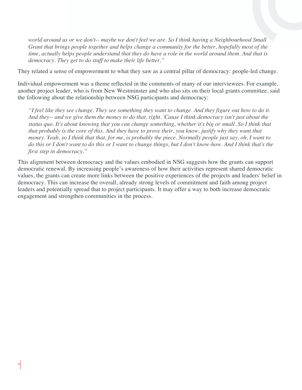*world around us or we don't-- maybe we don't feel we are. So I think having a Neighbourhood Small Grant that brings people together and helps change a community for the better, hopefully most of the time, actually helps people understand that they do have a role in the world around them. And that is democracy. They get to do stuff to make their life better."*

They related a sense of empowerment to what they saw as a central pillar of democracy: people-led change.

Individual empowerment was a theme reflected in the comments of many of our interviewees. For example, another project leader, who is from New Westminster and who also sits on their local grants committee, said the following about the relationship between NSG participants and democracy:

*"I feel like they see change. They see something they want to change. And they figure out how to do it. And they-- and we give them the money to do that, right. 'Cause I think democracy isn't just about the status quo. It's about knowing that you can change something, whether it's big or small. So I think that that probably is the core of this. And they have to prove their, you know, justify why they want that money. Yeah, so I think that that, for me, is probably the piece. Normally people just say, oh, I want to do this or I don't want to do this or I want to change things, but I don't know-how. And I think that's the first step in democracy."*

This alignment between democracy and the values embodied in NSG suggests how the grants can support democratic renewal. By increasing people's awareness of how their activities represent shared democratic values, the grants can create more links between the positive experiences of the projects and leaders' belief in democracy. This can increase the overall, already strong levels of commitment and faith among project leaders and potentially spread that to project participants. It may offer a way to both increase democratic engagement and strengthen communities in the process.

21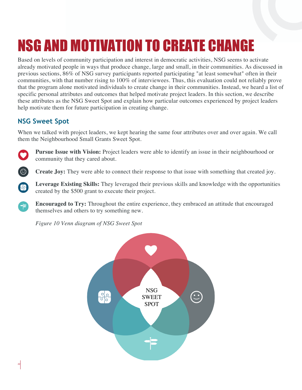# NSG AND MOTIVATION TO CREATE CHANGE

Based on levels of community participation and interest in democratic activities, NSG seems to activate already motivated people in ways that produce change, large and small, in their communities. As discussed in previous sections, 86% of NSG survey participants reported participating "at least somewhat" often in their communities, with that number rising to 100% of interviewees. Thus, this evaluation could not reliably prove that the program alone motivated individuals to create change in their communities. Instead, we heard a list of specific personal attributes and outcomes that helped motivate project leaders. In this section, we describe these attributes as the NSG Sweet Spot and explain how particular outcomes experienced by project leaders help motivate them for future participation in creating change.

### **NSG Sweet Spot**

When we talked with project leaders, we kept hearing the same four attributes over and over again. We call them the Neighbourhood Small Grants Sweet Spot.



 $\odot$ 

母

Œ

**Pursue Issue with Vision:** Project leaders were able to identify an issue in their neighbourhood or community that they cared about.

**Create Joy:** They were able to connect their response to that issue with something that created joy.

**Leverage Existing Skills:** They leveraged their previous skills and knowledge with the opportunities created by the \$500 grant to execute their project.

**Encouraged to Try:** Throughout the entire experience, they embraced an attitude that encouraged themselves and others to try something new.

*Figure 10 Venn diagram of NSG Sweet Spot*

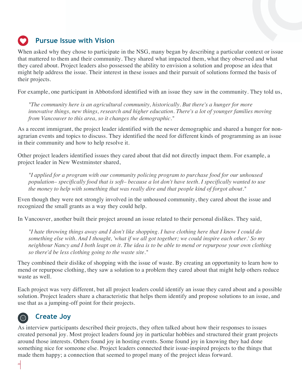## **Pursue Issue with Vision**

When asked why they chose to participate in the NSG, many began by describing a particular context or issue that mattered to them and their community. They shared what impacted them, what they observed and what they cared about. Project leaders also possessed the ability to envision a solution and propose an idea that might help address the issue. Their interest in these issues and their pursuit of solutions formed the basis of their projects.

For example, one participant in Abbotsford identified with an issue they saw in the community. They told us,

*"The community here is an agricultural community, historically. But there's a hunger for more innovative things, new things, research and higher education. There's a lot of younger families moving from Vancouver to this area, so it changes the demographic."*

As a recent immigrant, the project leader identified with the newer demographic and shared a hunger for nonagrarian events and topics to discuss. They identified the need for different kinds of programming as an issue in their community and how to help resolve it.

Other project leaders identified issues they cared about that did not directly impact them. For example, a project leader in New Westminster shared,

*"I applied for a program with our community policing program to purchase food for our unhoused population– specifically food that is soft– because a lot don't have teeth. I specifically wanted to use the money to help with something that was really dire and that people kind of forgot about."* 

Even though they were not strongly involved in the unhoused community, they cared about the issue and recognized the small grants as a way they could help.

In Vancouver, another built their project around an issue related to their personal dislikes. They said,

*"I hate throwing things away and I don't like shopping. I have clothing here that I know I could do something else with. And I thought, 'what if we all got together; we could inspire each other.' So my neighbour Nancy and I both leapt on it. The idea is to be able to mend or repurpose your own clothing so there'd be less clothing going to the waste site."* 

They combined their dislike of shopping with the issue of waste. By creating an opportunity to learn how to mend or repurpose clothing, they saw a solution to a problem they cared about that might help others reduce waste as well.

Each project was very different, but all project leaders could identify an issue they cared about and a possible solution. Project leaders share a characteristic that helps them identify and propose solutions to an issue, and use that as a jumping-off point for their projects.

#### **Create Joy**  $\odot$

As interview participants described their projects, they often talked about how their responses to issues created personal joy. Most project leaders found joy in particular hobbies and structured their grant projects around those interests. Others found joy in hosting events. Some found joy in knowing they had done something nice for someone else. Project leaders connected their issue-inspired projects to the things that made them happy; a connection that seemed to propel many of the project ideas forward.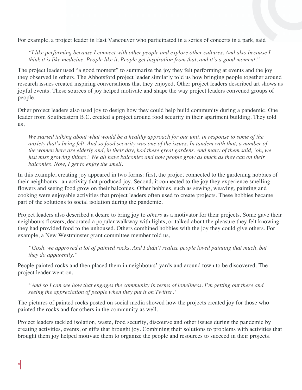For example, a project leader in East Vancouver who participated in a series of concerts in a park, said

*"I like performing because I connect with other people and explore other cultures. And also because I think it is like medicine. People like it. People get inspiration from that, and it's a good moment."*

The project leader used "a good moment" to summarize the joy they felt performing at events and the joy they observed in others. The Abbotsford project leader similarly told us how bringing people together around research issues created inspiring conversations that they enjoyed. Other project leaders described art shows as joyful events. These sources of joy helped motivate and shape the way project leaders convened groups of people.

Other project leaders also used joy to design how they could help build community during a pandemic. One leader from Southeastern B.C. created a project around food security in their apartment building. They told us,

*We started talking about what would be a healthy approach for our unit, in response to some of the anxiety that's being felt. And so food security was one of the issues. In tandem with that, a number of the women here are elderly and, in their day, had these great gardens. And many of them said, 'oh, we just miss growing things.' We all have balconies and now people grow as much as they can on their balconies. Now, I get to enjoy the smell.* 

In this example, creating joy appeared in two forms: first, the project connected to the gardening hobbies of their neighbours– an activity that produced joy. Second, it connected to the joy they experience smelling flowers and seeing food grow on their balconies. Other hobbies, such as sewing, weaving, painting and cooking were enjoyable activities that project leaders often used to create projects. These hobbies became part of the solutions to social isolation during the pandemic.

Project leaders also described a desire to bring joy to *others* as a motivator for their projects. Some gave their neighbours flowers, decorated a popular walkway with lights, or talked about the pleasure they felt knowing they had provided food to the unhoused. Others combined hobbies with the joy they could give others. For example, a New Westminster grant committee member told us,

*"Gosh, we approved a lot of painted rocks. And I didn't realize people loved painting that much, but they do apparently."*

People painted rocks and then placed them in neighbours' yards and around town to be discovered. The project leader went on,

*"And so I can see how that engages the community in terms of loneliness. I'm getting out there and seeing the appreciation of people when they put it on Twitter."*

The pictures of painted rocks posted on social media showed how the projects created joy for those who painted the rocks and for others in the community as well.

Project leaders tackled isolation, waste, food security, discourse and other issues during the pandemic by creating activities, events, or gifts that brought joy. Combining their solutions to problems with activities that brought them joy helped motivate them to organize the people and resources to succeed in their projects.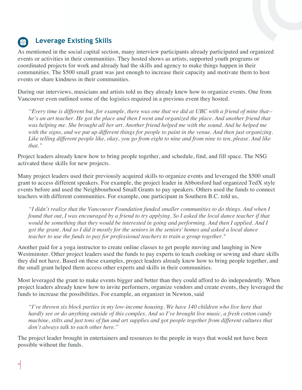## **Leverage Existing Skills**

As mentioned in the social capital section, many interview participants already participated and organized events or activities in their communities. They hosted shows as artists, supported youth programs or coordinated projects for work and already had the skills and agency to make things happen in their communities. The \$500 small grant was just enough to increase their capacity and motivate them to host events or share kindness in their communities.

During our interviews, musicians and artists told us they already knew how to organize events. One from Vancouver even outlined some of the logistics required in a previous event they hosted.

*"Every time is different but, for example, there was one that we did at UBC with a friend of mine that- he's an art teacher. He got the place and then I went and organized the place. And another friend that*  was *helping me. She brought all her art. Another friend helped me with the sound. And he helped me with the signs, and we put up different things for people to paint in the venue. And then just organizing. Like telling different people like, okay, you go from eight to nine and from nine to ten, please. And like that."*

Project leaders already knew how to bring people together, and schedule, find, and fill space. The NSG activated these skills for new projects.

Many project leaders used their previously acquired skills to organize events and leveraged the \$500 small grant to access different speakers. For example, the project leader in Abbotsford had organized TedX style events before and used the Neighbourhood Small Grants to pay speakers. Others used the funds to connect teachers with different communities. For example, one participant in Southern B.C. told us,

*"I didn't realize that the Vancouver Foundation funded smaller communities to do things. And when I found that out, I was encouraged by a friend to try applying. So I asked the local dance teacher if that would be something that they would be interested in going and performing. And then I applied. And I got the grant. And so I did it mostly for the seniors in the seniors' homes and asked a local dance teacher to use the funds to pay for professional teachers to train a group together."* 

Another paid for a yoga instructor to create online classes to get people moving and laughing in New Westminster. Other project leaders used the funds to pay experts to teach cooking or sewing and share skills they did not have. Based on these examples, project leaders already knew how to bring people together, and the small grant helped them access other experts and skills in their communities.

Most leveraged the grant to make events bigger and better than they could afford to do independently. When project leaders already knew how to invite performers, organize vendors and create events, they leveraged the funds to increase the possibilities. For example, an organizer in Newton, said

*"I've thrown six block parties in my low-income housing. We have 140 children who live here that hardly see or do anything outside of this complex. And so I've brought live music, a fresh cotton candy machine, stilts and just tons of fun and art supplies and got people together from different cultures that don't always talk to each other here."*

The project leader brought in entertainers and resources to the people in ways that would not have been possible without the funds.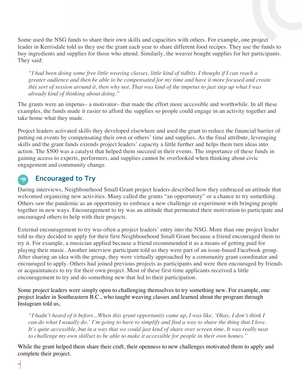Some used the NSG funds to share their own skills and capacities with others. For example, one project leader in Kerrisdale told us they use the grant each year to share different food recipes. They use the funds to buy ingredients and supplies for those who attend. Similarly, the weaver bought supplies for her participants. They said:

*"I had been doing some free little weaving classes, little kind of tidbits. I thought if I can reach a greater audience and then be able to be compensated for my time and have it more focused and create this sort of session around it, then why not. That was kind of the impetus to just step up what I was already kind of thinking about doing."* 

The grants were an impetus– a motivator– that made the effort more accessible and worthwhile. In all these examples, the funds made it easier to afford the supplies so people could engage in an activity together and take home what they made.

Project leaders activated skills they developed elsewhere and used the grant to reduce the financial barrier of putting on events by compensating their own or others' time and supplies. As the final attribute, leveraging skills and the grant funds extends project leaders' capacity a little further and helps them turn ideas into action. The \$500 was a catalyst that helped them succeed in their events. The importance of these funds in gaining access to experts, performers, and supplies cannot be overlooked when thinking about civic engagement and community change.

#### **Encouraged to Try**

During interviews, Neighbourhood Small Grant project leaders described how they embraced an attitude that welcomed organizing new activities. Many called the grants "an opportunity" or a chance to try something. Others saw the pandemic as an opportunity to embrace a new challenge or experiment with bringing people together in new ways. Encouragement to try was an attitude that permeated their motivation to participate and encouraged others to help with their projects.

External encouragement to try was often a project leaders' entry into the NSG. More than one project leader told us they decided to apply for their first Neighbourhood Small Grant because a friend encouraged them to try it. For example, a musician applied because a friend recommended it as a means of getting paid for playing their music. Another interview participant told us they were part of an issue-based Facebook group. After sharing an idea with the group, they were virtually approached by a community grant coordinator and encouraged to apply. Others had joined previous projects as participants and were then encouraged by friends or acquaintances to try for their own project. Most of these first-time applicants received a little encouragement to try and do something new that led to their participation.

Some project leaders were simply open to challenging themselves to try something new. For example, one project leader in Southeastern B.C., who taught weaving classes and learned about the program through Instagram told us,

*"I hadn't heard of it before...When this grant opportunity came up, I was like, 'Okay, I don't think I can do what I usually do.' I'm going to have to simplify and find a way to share the thing that I love. It's quite accessible, but in a way that we could just kind of share over screen time. It was really neat to challenge my own skillset to be able to make it accessible for people in their own homes."*

While the grant helped them share their craft, their openness to new challenges motivated them to apply and complete their project.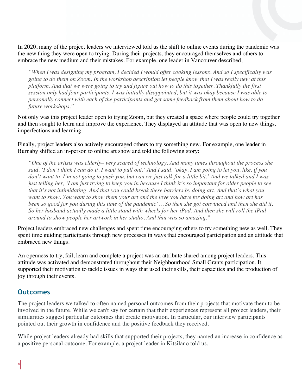In 2020, many of the project leaders we interviewed told us the shift to online events during the pandemic was the new thing they were open to trying. During their projects, they encouraged themselves and others to embrace the new medium and their mistakes. For example, one leader in Vancouver described,

*"When I was designing my program, I decided I would offer cooking lessons. And so I specifically was going to do them on Zoom. In the workshop description let people know that I was really new at this platform. And that we were going to try and figure out how to do this together. Thankfully the first session only had four participants. I was initially disappointed, but it was okay because I was able to personally connect with each of the participants and get some feedback from them about how to do future workshops."*

Not only was this project leader open to trying Zoom, but they created a space where people could try together and then sought to learn and improve the experience. They displayed an attitude that was open to new things, imperfections and learning.

Finally, project leaders also actively encouraged others to try something new. For example, one leader in Burnaby shifted an in-person to online art show and told the following story:

*"One of the artists was elderly– very scared of technology. And many times throughout the process she said, 'I don't think I can do it. I want to pull out.' And I said, 'okay, I am going to let you, like, if you don't want to, I'm not going to push you, but can we just talk for a little bit.' And we talked and I was just telling her, 'I am just trying to keep you in because I think it's so important for older people to see that it's not intimidating. And that you could break these barriers by doing art. And that's what you want to show. You want to show them your art and the love you have for doing art and how art has been so good for you during this time of the pandemic'… So then she got convinced and then she did it. So her husband actually made a little stand with wheels for her iPad. And then she will roll the iPad around to show people her artwork in her studio. And that was so amazing."*

Project leaders embraced new challenges and spent time encouraging others to try something new as well. They spent time guiding participants through new processes in ways that encouraged participation and an attitude that embraced new things.

An openness to try, fail, learn and complete a project was an attribute shared among project leaders. This attitude was activated and demonstrated throughout their Neighbourhood Small Grants participation. It supported their motivation to tackle issues in ways that used their skills, their capacities and the production of joy through their events.

#### **Outcomes**

The project leaders we talked to often named personal outcomes from their projects that motivate them to be involved in the future. While we can't say for certain that their experiences represent all project leaders, their similarities suggest particular outcomes that create motivation. In particular, our interview participants pointed out their growth in confidence and the positive feedback they received.

While project leaders already had skills that supported their projects, they named an increase in confidence as a positive personal outcome. For example, a project leader in Kitsilano told us,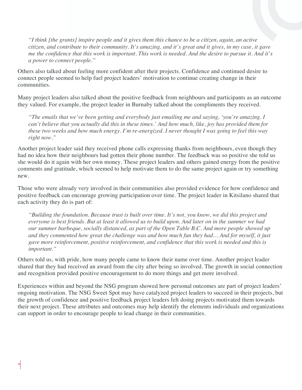*"I think [the grants] inspire people and it gives them this chance to be a citizen, again, an active citizen, and contribute to their community. It's amazing, and it's great and it gives, in my case, it gave me the confidence that this work is important. This work is needed. And the desire to pursue it. And it's a power to connect people."*

Others also talked about feeling more confident after their projects. Confidence and continued desire to connect people seemed to help fuel project leaders' motivation to continue creating change in their communities.

Many project leaders also talked about the positive feedback from neighbours and participants as an outcome they valued. For example, the project leader in Burnaby talked about the compliments they received.

*"The emails that we've been getting and everybody just emailing me and saying, 'you're amazing. I can't believe that you actually did this in these times.' And how much, like, joy has provided them for these two weeks and how much energy. I'm re-energized. I never thought I was going to feel this way right now."*

Another project leader said they received phone calls expressing thanks from neighbours, even though they had no idea how their neighbours had gotten their phone number. The feedback was so positive she told us she would do it again with her own money. These project leaders and others gained energy from the positive comments and gratitude, which seemed to help motivate them to do the same project again or try something new.

Those who were already very involved in their communities also provided evidence for how confidence and positive feedback can encourage growing participation over time. The project leader in Kitsilano shared that each activity they do is part of:

*"Building the foundation. Because trust is built over time. It's not, you know, we did this project and everyone is best friends. But at least it allowed us to build upon. And later on in the summer we had our summer barbeque, socially distanced, as part of the Open Table B.C. And more people showed up and they commented how great the challenge was and how much fun they had… And for myself, it just gave more reinforcement, positive reinforcement, and confidence that this work is needed and this is important."*

Others told us, with pride, how many people came to know their name over time. Another project leader shared that they had received an award from the city after being so involved. The growth in social connection and recognition provided positive encouragement to do more things and get more involved.

Experiences within and beyond the NSG program showed how personal outcomes are part of project leaders' ongoing motivation. The NSG Sweet Spot may have catalyzed project leaders to succeed in their projects, but the growth of confidence and positive feedback project leaders felt doing projects motivated them towards their next project. These attributes and outcomes may help identify the elements individuals and organizations can support in order to encourage people to lead change in their communities.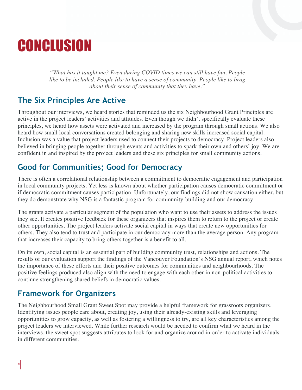## **CONCLUSION**

*"What has it taught me? Even during COVID times we can still have fun. People like to be included. People like to have a sense of community. People like to brag about their sense of community that they have."*

## **The Six Principles Are Active**

Throughout our interviews, we heard stories that reminded us the six Neighbourhood Grant Principles are active in the project leaders' activities and attitudes. Even though we didn't specifically evaluate these principles, we heard how assets were activated and increased by the program through small actions. We also heard how small local conversations created belonging and sharing new skills increased social capital. Inclusion was a value that project leaders used to connect their projects to democracy. Project leaders also believed in bringing people together through events and activities to spark their own and others' joy. We are confident in and inspired by the project leaders and these six principles for small community actions.

## **Good for Communities; Good for Democracy**

There is often a correlational relationship between a commitment to democratic engagement and participation in local community projects. Yet less is known about whether participation causes democratic commitment or if democratic commitment causes participation. Unfortunately, our findings did not show causation either, but they do demonstrate why NSG is a fantastic program for community-building and our democracy.

The grants activate a particular segment of the population who want to use their assets to address the issues they see. It creates positive feedback for these organizers that inspires them to return to the project or create other opportunities. The project leaders activate social capital in ways that create new opportunities for others. They also tend to trust and participate in our democracy more than the average person. Any program that increases their capacity to bring others together is a benefit to all.

On its own, social capital is an essential part of building community trust, relationships and actions. The results of our evaluation support the findings of the Vancouver Foundation's NSG annual report, which notes the importance of these efforts and their positive outcomes for communities and neighbourhoods. The positive feelings produced also align with the need to engage with each other in non-political activities to continue strengthening shared beliefs in democratic values.

## **Framework for Organizers**

The Neighbourhood Small Grant Sweet Spot may provide a helpful framework for grassroots organizers. Identifying issues people care about, creating joy, using their already-existing skills and leveraging opportunities to grow capacity, as well as fostering a willingness to try, are all key characteristics among the project leaders we interviewed. While further research would be needed to confirm what we heard in the interviews, the sweet spot suggests attributes to look for and organize around in order to activate individuals in different communities.